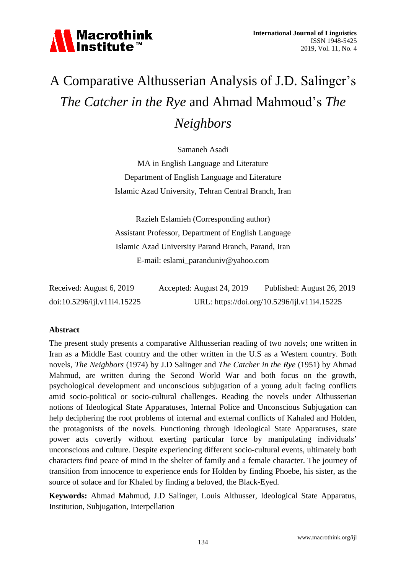# A Comparative Althusserian Analysis of J.D. Salinger's *The Catcher in the Rye* and Ahmad Mahmoud's *The Neighbors*

Samaneh Asadi

MA in English Language and Literature Department of English Language and Literature Islamic Azad University, Tehran Central Branch, Iran

Razieh Eslamieh (Corresponding author) Assistant Professor, Department of English Language Islamic Azad University Parand Branch, Parand, Iran E-mail: eslami\_paranduniv@yahoo.com

| Received: August 6, 2019    | Accepted: August 24, 2019                    | Published: August 26, 2019 |
|-----------------------------|----------------------------------------------|----------------------------|
| doi:10.5296/ijl.v11i4.15225 | URL: https://doi.org/10.5296/ijl.v11i4.15225 |                            |

## **Abstract**

The present study presents a comparative Althusserian reading of two novels; one written in Iran as a Middle East country and the other written in the U.S as a Western country. Both novels, *The Neighbors* (1974) by J.D Salinger and *The Catcher in the Rye* (1951) by Ahmad Mahmud, are written during the Second World War and both focus on the growth, psychological development and unconscious subjugation of a young adult facing conflicts amid socio-political or socio-cultural challenges. Reading the novels under Althusserian notions of Ideological State Apparatuses, Internal Police and Unconscious Subjugation can help deciphering the root problems of internal and external conflicts of Kahaled and Holden, the protagonists of the novels. Functioning through Ideological State Apparatuses, state power acts covertly without exerting particular force by manipulating individuals' unconscious and culture. Despite experiencing different socio-cultural events, ultimately both characters find peace of mind in the shelter of family and a female character. The journey of transition from innocence to experience ends for Holden by finding Phoebe, his sister, as the source of solace and for Khaled by finding a beloved, the Black-Eyed.

**Keywords:** Ahmad Mahmud, J.D Salinger, Louis Althusser, Ideological State Apparatus, Institution, Subjugation, Interpellation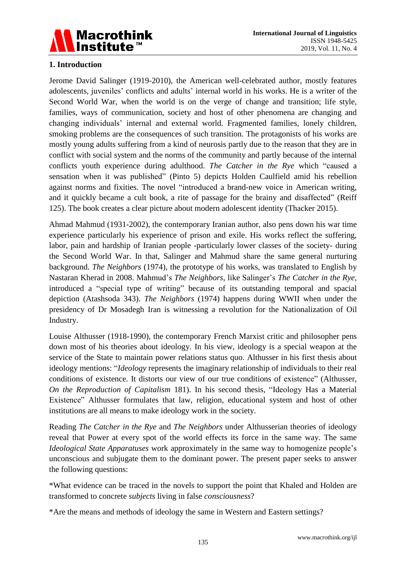

## **1. Introduction**

Jerome David Salinger (1919-2010), the American well-celebrated author, mostly features adolescents, juveniles' conflicts and adults' internal world in his works. He is a writer of the Second World War, when the world is on the verge of change and transition; life style, families, ways of communication, society and host of other phenomena are changing and changing individuals' internal and external world. Fragmented families, lonely children, smoking problems are the consequences of such transition. The protagonists of his works are mostly young adults suffering from a kind of neurosis partly due to the reason that they are in conflict with social system and the norms of the community and partly because of the internal conflicts youth experience during adulthood. *The Catcher in the Rye* which "caused a sensation when it was published" (Pinto 5) depicts Holden Caulfield amid his rebellion against norms and fixities. The novel "introduced a brand-new voice in American writing, and it quickly became a cult book, a rite of passage for the brainy and disaffected" (Reiff 125). The book creates a clear picture about modern adolescent identity (Thacker 2015).

Ahmad Mahmud (1931-2002), the contemporary Iranian author, also pens down his war time experience particularly his experience of prison and exile. His works reflect the suffering, labor, pain and hardship of Iranian people -particularly lower classes of the society- during the Second World War. In that, Salinger and Mahmud share the same general nurturing background. *The Neighbors* (1974), the prototype of his works, was translated to English by Nastaran Kherad in 2008. Mahmud's *The Neighbors*, like Salinger's *The Catcher in the Rye*, introduced a "special type of writing" because of its outstanding temporal and spacial depiction (Atashsoda 343). *The Neighbors* (1974) happens during WWII when under the presidency of Dr Mosadegh Iran is witnessing a revolution for the Nationalization of Oil Industry.

Louise Althusser (1918-1990), the contemporary French Marxist critic and philosopher pens down most of his theories about ideology. In his view, ideology is a special weapon at the service of the State to maintain power relations status quo. Althusser in his first thesis about ideology mentions: "*Ideology* represents the imaginary relationship of individuals to their real conditions of existence. It distorts our view of our true conditions of existence" (Althusser, *On the Reproduction of Capitalism* 181). In his second thesis, "Ideology Has a Material Existence" Althusser formulates that law, religion, educational system and host of other institutions are all means to make ideology work in the society.

Reading *The Catcher in the Rye* and *The Neighbors* under Althusserian theories of ideology reveal that Power at every spot of the world effects its force in the same way. The same *Ideological State Apparatuses* work approximately in the same way to homogenize people's unconscious and subjugate them to the dominant power. The present paper seeks to answer the following questions:

\*What evidence can be traced in the novels to support the point that Khaled and Holden are transformed to concrete *subjects* living in false *consciousness*?

\*Are the means and methods of ideology the same in Western and Eastern settings?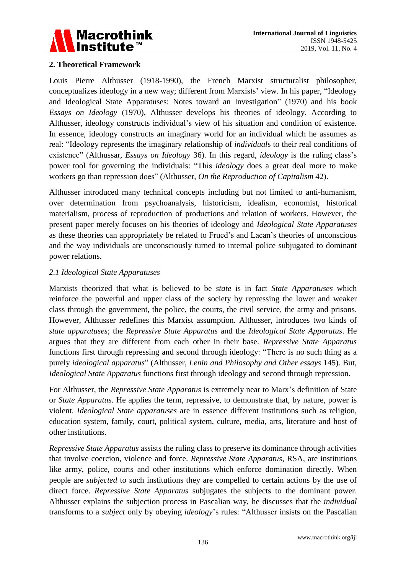

## **2. Theoretical Framework**

Louis Pierre Althusser (1918-1990), the French Marxist structuralist [philosopher,](https://en.wikipedia.org/wiki/Marxist_philosophy) conceptualizes ideology in a new way; different from Marxists' view. In his paper, ["Ideology](https://en.wikipedia.org/wiki/Ideology_and_Ideological_State_Apparatuses) and Ideological State Apparatuses: Notes toward an [Investigation"](https://en.wikipedia.org/wiki/Ideology_and_Ideological_State_Apparatuses) (1970) and his book *Essays on Ideology* (1970), Althusser develops his theories of ideology. According to Althusser, ideology constructs individual's view of his situation and condition of existence. In essence, ideology constructs an imaginary world for an individual which he assumes as real: "Ideology represents the imaginary relationship of *individual*s to their real conditions of existence" (Althussar, *Essays on Ideology* 36). In this regard, *ideology* is the ruling class's power tool for governing the individuals: "This *ideology* does a great deal more to make workers go than repression does" (Althusser, *On the Reproduction of Capitalism* 42).

Althusser introduced many technical concepts including but not limited to anti-humanism, over determination from psychoanalysis, historicism, idealism, economist, historical materialism, process of reproduction of productions and relation of workers. However, the present paper merely focuses on his theories of ideology and *Ideological State Apparatuses* as these theories can appropriately be related to Frued's and Lacan's theories of unconscious and the way individuals are unconsciously turned to internal police subjugated to dominant power relations.

#### *2.1 Ideological State Apparatuses*

Marxists theorized that what is believed to be *state* is in fact *State Apparatuses* which reinforce the powerful and upper class of the society by repressing the lower and weaker class through the government, the police, the courts, the civil service, the army and prisons. However, Althusser redefines this Marxist assumption. Althusser, introduces two kinds of *state apparatuses*; the *Repressive State Apparatus* and the *Ideological State Apparatus*. He argues that they are different from each other in their base. *Repressive State Apparatus* functions first through repressing and second through ideology: "There is no such thing as a purely *ideological apparatus*" (Althusser, *Lenin and Philosophy and Other essays* 145). But, *Ideological State Apparatus* functions first through ideology and second through repression.

For Althusser, the *Repressive State Apparatus* is extremely near to Marx's definition of State or *State Apparatus*. He applies the term, repressive, to demonstrate that, by nature, power is violent. *Ideological State apparatuses* are in essence different institutions such as religion, education system, family, court, political system, culture, media, arts, literature and host of other institutions.

*Repressive State Apparatus* assists the ruling class to preserve its dominance through activities that involve coercion, violence and force. *Repressive State Apparatus*, RSA, are institutions like army, police, courts and other institutions which enforce domination directly. When people are *subjected* to such institutions they are compelled to certain actions by the use of direct force. *Repressive State Apparatus* subjugates the subjects to the dominant power. Althusser explains the subjection process in Pascalian way, he discusses that the *individual* transforms to a *subject* only by obeying *ideology*'s rules: "Althusser insists on the Pascalian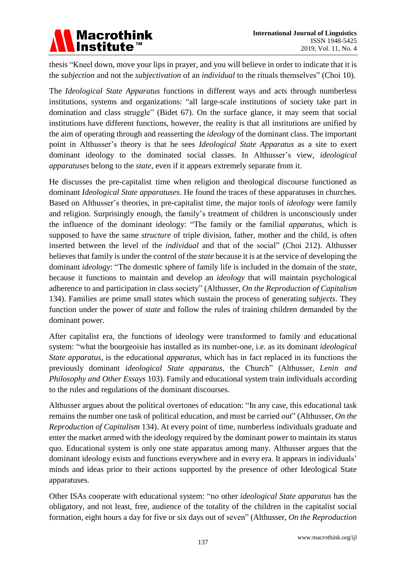

thesis "Kneel down, move your lips in prayer, and you will believe in order to indicate that it is the *subjection* and not the *subjectivation* of an *individual* to the rituals themselves" (Choi 10).

The *Ideological State Apparatus* functions in different ways and acts through numberless institutions, systems and organizations: "all large-scale institutions of society take part in domination and class struggle" (Bidet 67). On the surface glance, it may seem that social institutions have different functions, however, the reality is that all institutions are unified by the aim of operating through and reasserting the *ideology* of the dominant class. The important point in Althusser's theory is that he sees *Ideological State Apparatus* as a site to exert dominant ideology to the dominated social classes. In Althusser's view, *ideological apparatuses* belong to the *state*, even if it appears extremely separate from it.

He discusses the pre-capitalist time when religion and theological discourse functioned as dominant *Ideological State apparatuses*. He found the traces of these apparatuses in churches. Based on Althusser's theories, in pre-capitalist time, the major tools of *ideology* were family and religion. Surprisingly enough, the family's treatment of children is unconsciously under the influence of the dominant ideology: "The family or the familial *apparatus*, which is supposed to have the same *structure* of triple division, father, mother and the child, is often inserted between the level of the *individual* and that of the social" (Choi 212). Althusser believes that family is under the control of the *state* because it is at the service of developing the dominant *ideology*: "The domestic sphere of family life is included in the domain of the *state*, because it functions to maintain and develop an *ideology* that will maintain psychological adherence to and participation in class society" (Althusser, *On the Reproduction of Capitalism* 134). Families are prime small *state*s which sustain the process of generating *subjects*. They function under the power of *state* and follow the rules of training children demanded by the dominant power.

After capitalist era, the functions of ideology were transformed to family and educational system: "what the bourgeoisie has installed as its number-one, i.e. as its dominant *ideological State apparatus*, is the educational *apparatus*, which has in fact replaced in its functions the previously dominant *ideological State apparatus*, the Church" (Althusser, *[Lenin](https://www.cla.purdue.edu/english/theory/marxism/notes/althusserlenin.html) and Philosophy and Other Essays* [103\)](https://www.cla.purdue.edu/english/theory/marxism/notes/althusserlenin.html). Family and educational system train individuals according to the rules and regulations of the dominant discourses.

Althusser argues about the political overtones of education: "In any case, this educational task remains the number one task of political education, and must be carried out" (Althusser, *On the Reproduction of Capitalism* 134). At every point of time, numberless individuals graduate and enter the market armed with the ideology required by the dominant power to maintain its status quo. Educational system is only one state apparatus among many. Althusser argues that the dominant ideology exists and functions everywhere and in every era. It appears in individuals' minds and ideas prior to their actions supported by the presence of other Ideological State apparatuses.

Other ISAs cooperate with educational system: "no other *ideological State apparatus* has the obligatory, and not least, free, audience of the totality of the children in the capitalist social formation, eight hours a day for five or six days out of seven" (Althusser, *On the Reproduction*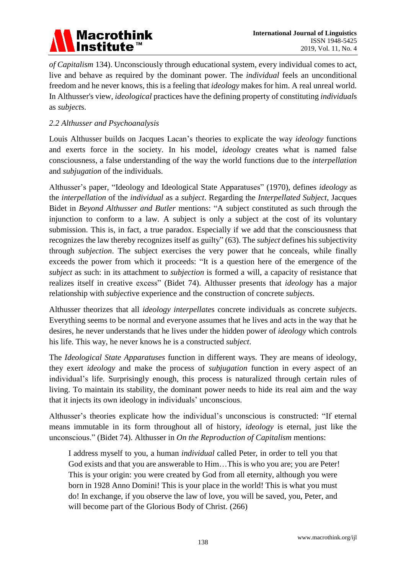

*of Capitalism* 134). Unconsciously through educational system, every individual comes to act, live and behave as required by the dominant power. The *individual* feels an unconditional freedom and he never knows, this is a feeling that *ideology* makes for him. A real unreal world. In Althusser's view, *[ideological](https://en.wikipedia.org/wiki/Ideological)* practices have the defining property of constituting *individual*s as *subject*s.

## *2.2 Althusser and Psychoanalysis*

Louis Althusser builds on Jacques Lacan's theories to explicate the way *ideology* functions and exerts force in the society. In his model, *ideology* creates what is named false consciousness, a false understanding of the way the world functions due to the *interpellation* and *subjugation* of the individuals.

Althusser's paper, "Ideology and Ideological State Apparatuses" (1970), defines *ideology* as the *interpellation* of the *individual* as a *subject*. Regarding the *Interpellated Subject*, Jacques Bidet in *Beyond Althusser and Butler* mentions: "A subject constituted as such through the injunction to conform to a law. A subject is only a subject at the cost of its voluntary submission. This is, in fact, a true paradox. Especially if we add that the consciousness that recognizes the law thereby recognizes itself as guilty" (63). The *subject* defines his subjectivity through *subjection*. The subject exercises the very power that he conceals, while finally exceeds the power from which it proceeds: "It is a question here of the emergence of the *subject* as such: in its attachment to *subjection* is formed a will, a capacity of resistance that realizes itself in creative excess" (Bidet 74). Althusser presents that *ideology* has a major relationship with *subject*ive experience and the construction of concrete *subject*s.

Althusser theorizes that all *ideology interpellate*s concrete individuals as concrete *subject*s. Everything seems to be normal and everyone assumes that he lives and acts in the way that he desires, he never understands that he lives under the hidden power of *ideology* which controls his life. This way, he never knows he is a constructed *subject*.

The *Ideological State Apparatuses* function in different ways. They are means of ideology, they exert *ideology* and make the process of *subjugation* function in every aspect of an individual's life. Surprisingly enough, this process is naturalized through certain rules of living. To maintain its stability, the dominant power needs to hide its real aim and the way that it injects its own ideology in individuals' unconscious.

Althusser's theories explicate how the individual's unconscious is constructed: "If eternal means immutable in its form throughout all of history, *ideology* is eternal, just like the unconscious." (Bidet 74). Althusser in *On the Reproduction of Capitalism* mentions:

I address myself to you, a human *individual* called Peter, in order to tell you that God exists and that you are answerable to Him…This is who you are; you are Peter! This is your origin: you were created by God from all eternity, although you were born in 1928 Anno Domini! This is your place in the world! This is what you must do! In exchange, if you observe the law of love, you will be saved, you, Peter, and will become part of the Glorious Body of Christ. (266)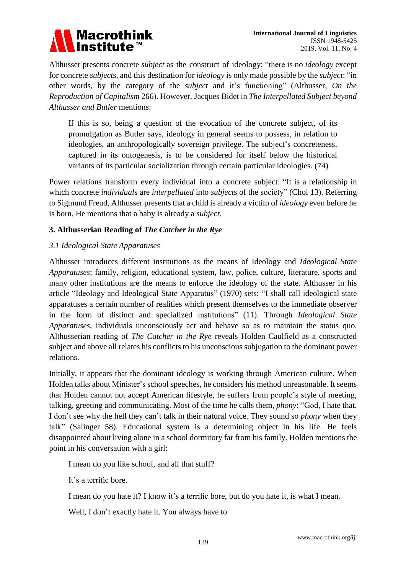

Althusser presents concrete *subject* as the construct of ideology: "there is no *ideology* except for concrete *subject*s, and this destination for *ideology* is only made possible by the *subject*: "in other words, by the category of the *subject* and it's functioning" (Althusser, *On the Reproduction of Capitalism* 266). However, Jacques Bidet in *The Interpellated Subject beyond Althusser and Butler* mentions:

If this is so, being a question of the evocation of the concrete subject, of its promulgation as Butler says, ideology in general seems to possess, in relation to ideologies, an anthropologically sovereign privilege. The subject's concreteness, captured in its ontogenesis, is to be considered for itself below the historical variants of its particular socialization through certain particular ideologies. (74)

Power relations transform every individual into a concrete subject: "It is a relationship in which concrete *individual*s are *interpellated* into *subject*s of the society" (Choi 13). Referring to Sigmund Freud, Althusser presents that a child is already a victim of *ideology* even before he is born. He mentions that a baby is already a *subject*.

## **3. Althusserian Reading of** *The Catcher in the Rye*

## *3.1 Ideological State Apparatuses*

Althusser introduces different institutions as the means of Ideology and *Ideological State Apparatuses*; family, religion, educational system, law, police, culture, literature, sports and many other institutions are the means to enforce the ideology of the state. Althusser in his article "Ideology and Ideological State Apparatus" (1970) sets: "I shall call ideological state apparatuses a certain number of realities which present themselves to the immediate observer in the form of distinct and specialized institutions" (11). Through *Ideological State Apparatuses*, individuals unconsciously act and behave so as to maintain the status quo. Althusserian reading of *The Catcher in the Rye* reveals Holden Caulfield as a constructed subject and above all relates his conflicts to his unconscious subjugation to the dominant power relations.

Initially, it appears that the dominant ideology is working through American culture. When Holden talks about Minister's school speeches, he considers his method unreasonable. It seems that Holden cannot not accept American lifestyle, he suffers from people's style of meeting, talking, greeting and communicating. Most of the time he calls them, *phony*: "God, I hate that. I don't see why the hell they can't talk in their natural voice. They sound so *phony* when they talk" (Salinger 58). Educational system is a determining object in his life. He feels disappointed about living alone in a school dormitory far from his family. Holden mentions the point in his conversation with a girl:

I mean do you like school, and all that stuff?

It's a terrific bore.

I mean do you hate it? I know it's a terrific bore, but do you hate it, is what I mean.

Well, I don't exactly hate it. You always have to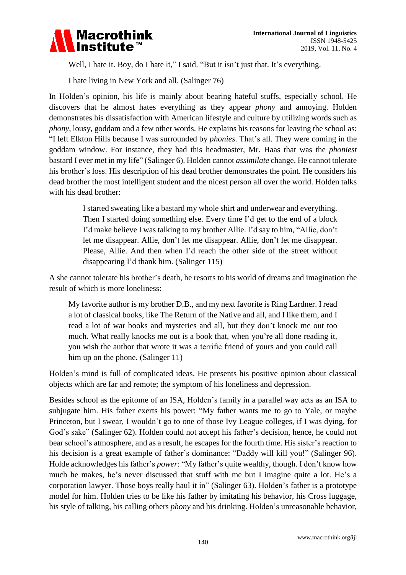

Well, I hate it. Boy, do I hate it," I said. "But it isn't just that. It's everything.

I hate living in New York and all. (Salinger 76)

In Holden's opinion, his life is mainly about bearing hateful stuffs, especially school. He discovers that he almost hates everything as they appear *phony* and annoying. Holden demonstrates his dissatisfaction with American lifestyle and culture by utilizing words such as *phony*, lousy, goddam and a few other words. He explains his reasons for leaving the school as: "I left Elkton Hills because I was surrounded by *phonies*. That's all. They were coming in the goddam window. For instance, they had this headmaster, Mr. Haas that was the *phoniest* bastard I ever met in my life" (Salinger 6). Holden cannot *assimilate* change. He cannot tolerate his brother's loss. His description of his dead brother demonstrates the point. He considers his dead brother the most intelligent student and the nicest person all over the world. Holden talks with his dead brother:

> I started sweating like a bastard my whole shirt and underwear and everything. Then I started doing something else. Every time I'd get to the end of a block I'd make believe I was talking to my brother Allie. I'd say to him, "Allie, don't let me disappear. Allie, don't let me disappear. Allie, don't let me disappear. Please, Allie. And then when I'd reach the other side of the street without disappearing I'd thank him. (Salinger 115)

A she cannot tolerate his brother's death, he resorts to his world of dreams and imagination the result of which is more loneliness:

My favorite author is my brother D.B., and my next favorite is Ring Lardner. I read a lot of classical books, like The Return of the Native and all, and I like them, and I read a lot of war books and mysteries and all, but they don't knock me out too much. What really knocks me out is a book that, when you're all done reading it, you wish the author that wrote it was a terrific friend of yours and you could call him up on the phone. (Salinger 11)

Holden's mind is full of complicated ideas. He presents his positive opinion about classical objects which are far and remote; the symptom of his loneliness and depression.

Besides school as the epitome of an ISA, Holden's family in a parallel way acts as an ISA to subjugate him. His father exerts his power: "My father wants me to go to Yale, or maybe Princeton, but I swear, I wouldn't go to one of those Ivy League colleges, if I was dying, for God's sake" (Salinger 62). Holden could not accept his father's decision, hence, he could not bear school's atmosphere, and as a result, he escapes for the fourth time. His sister's reaction to his decision is a great example of father's dominance: "Daddy will kill you!" (Salinger 96). Holde acknowledges his father's *power*: "My father's quite wealthy, though. I don't know how much he makes, he's never discussed that stuff with me but I imagine quite a lot. He's a corporation lawyer. Those boys really haul it in" (Salinger 63). Holden's father is a prototype model for him. Holden tries to be like his father by imitating his behavior, his Cross luggage, his style of talking, his calling others *phony* and his drinking. Holden's unreasonable behavior,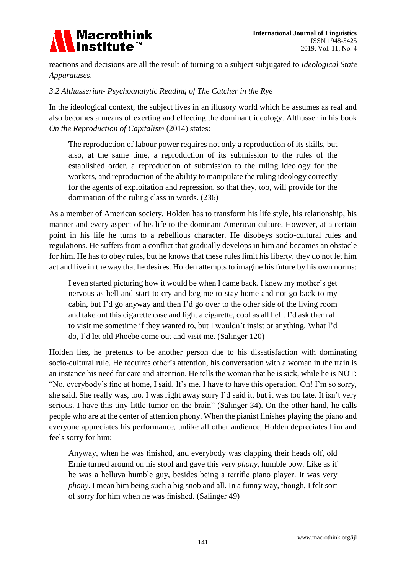

reactions and decisions are all the result of turning to a subject subjugated to *Ideological State Apparatuses*.

### *3.2 Althusserian- Psychoanalytic Reading of The Catcher in the Rye*

In the ideological context, the subject lives in an illusory world which he assumes as real and also becomes a means of exerting and effecting the dominant ideology. Althusser in his book *On the Reproduction of Capitalism* (2014) states:

The reproduction of labour power requires not only a reproduction of its skills, but also, at the same time, a reproduction of its submission to the rules of the established order, a reproduction of submission to the ruling ideology for the workers, and reproduction of the ability to manipulate the ruling ideology correctly for the agents of exploitation and repression, so that they, too, will provide for the domination of the ruling class in words. (236)

As a member of American society, Holden has to transform his life style, his relationship, his manner and every aspect of his life to the dominant American culture. However, at a certain point in his life he turns to a rebellious character. He disobeys socio-cultural rules and regulations. He suffers from a conflict that gradually develops in him and becomes an obstacle for him. He has to obey rules, but he knows that these rules limit his liberty, they do not let him act and live in the way that he desires. Holden attempts to imagine his future by his own norms:

I even started picturing how it would be when I came back. I knew my mother's get nervous as hell and start to cry and beg me to stay home and not go back to my cabin, but I'd go anyway and then I'd go over to the other side of the living room and take out this cigarette case and light a cigarette, cool as all hell. I'd ask them all to visit me sometime if they wanted to, but I wouldn't insist or anything. What I'd do, I'd let old Phoebe come out and visit me. (Salinger 120)

Holden lies, he pretends to be another person due to his dissatisfaction with dominating socio-cultural rule. He requires other's attention, his conversation with a woman in the train is an instance his need for care and attention. He tells the woman that he is sick, while he is NOT: "No, everybody's fine at home, I said. It's me. I have to have this operation. Oh! I'm so sorry, she said. She really was, too. I was right away sorry I'd said it, but it was too late. It isn't very serious. I have this tiny little tumor on the brain" (Salinger 34). On the other hand, he calls people who are at the center of attention phony. When the pianist finishes playing the piano and everyone appreciates his performance, unlike all other audience, Holden depreciates him and feels sorry for him:

Anyway, when he was finished, and everybody was clapping their heads off, old Ernie turned around on his stool and gave this very *phony*, humble bow. Like as if he was a helluva humble guy, besides being a terrific piano player. It was very *phony*. I mean him being such a big snob and all. In a funny way, though, I felt sort of sorry for him when he was finished. (Salinger 49)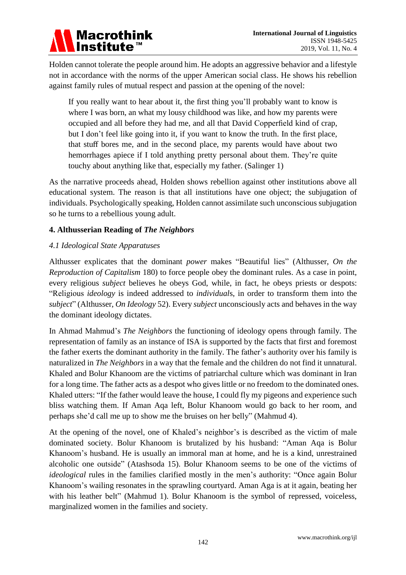

Holden cannot tolerate the people around him. He adopts an aggressive behavior and a lifestyle not in accordance with the norms of the upper American social class. He shows his rebellion against family rules of mutual respect and passion at the opening of the novel:

If you really want to hear about it, the first thing you'll probably want to know is where I was born, an what my lousy childhood was like, and how my parents were occupied and all before they had me, and all that David Copperfield kind of crap, but I don't feel like going into it, if you want to know the truth. In the first place, that stuff bores me, and in the second place, my parents would have about two hemorrhages apiece if I told anything pretty personal about them. They're quite touchy about anything like that, especially my father. (Salinger 1)

As the narrative proceeds ahead, Holden shows rebellion against other institutions above all educational system. The reason is that all institutions have one object; the subjugation of individuals. Psychologically speaking, Holden cannot assimilate such unconscious subjugation so he turns to a rebellious young adult.

## **4. Althusserian Reading of** *The Neighbors*

## *4.1 Ideological State Apparatuses*

Althusser explicates that the dominant *power* makes "Beautiful lies" (Althusser, *On the Reproduction of Capitalism* 180) to force people obey the dominant rules. As a case in point, every religious *subject* believes he obeys God, while, in fact, he obeys priests or despots: "Religious *ideology* is indeed addressed to *individual*s, in order to transform them into the *subject*" (Althusser, *On Ideology* 52). Every *subject* unconsciously acts and behaves in the way the dominant ideology dictates.

In Ahmad Mahmud's *The Neighbors* the functioning of ideology opens through family. The representation of family as an instance of ISA is supported by the facts that first and foremost the father exerts the dominant authority in the family. The father's authority over his family is naturalized in *The Neighbors* in a way that the female and the children do not find it unnatural. Khaled and Bolur Khanoom are the victims of patriarchal culture which was dominant in Iran for a long time. The father acts as a despot who gives little or no freedom to the dominated ones. Khaled utters: "If the father would leave the house, I could fly my pigeons and experience such bliss watching them. If Aman Aqa left, Bolur Khanoom would go back to her room, and perhaps she'd call me up to show me the bruises on her belly" (Mahmud 4).

At the opening of the novel, one of Khaled's neighbor's is described as the victim of male dominated society. Bolur Khanoom is brutalized by his husband: "Aman Aqa is Bolur Khanoom's husband. He is usually an immoral man at home, and he is a kind, unrestrained alcoholic one outside" (Atashsoda 15). Bolur Khanoom seems to be one of the victims of *ideological* rules in the families clarified mostly in the men's authority: "Once again Bolur Khanoom's wailing resonates in the sprawling courtyard. Aman Aga is at it again, beating her with his leather belt" (Mahmud 1). Bolur Khanoom is the symbol of repressed, voiceless, marginalized women in the families and society.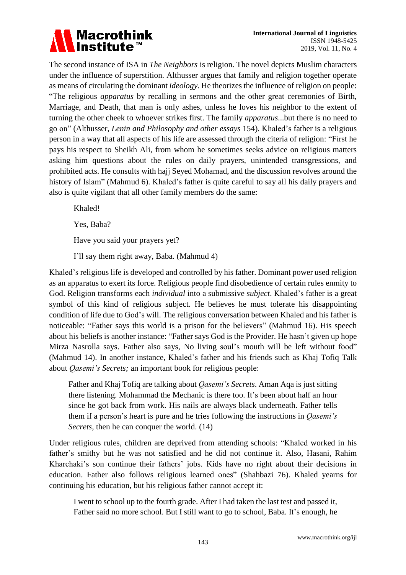

The second instance of ISA in *The Neighbors* is religion. The novel depicts Muslim characters under the influence of superstition. Althusser argues that family and religion together operate as means of circulating the dominant *ideology*. He theorizes the influence of religion on people: "The religious *apparatus* by recalling in sermons and the other great ceremonies of Birth, Marriage, and Death, that man is only ashes, unless he loves his neighbor to the extent of turning the other cheek to whoever strikes first. The family *apparatus*...but there is no need to go on" (Althusser, *Lenin and Philosophy and other essays* 154). Khaled's father is a religious person in a way that all aspects of his life are assessed through the citeria of religion: "First he pays his respect to Sheikh Ali, from whom he sometimes seeks advice on religious matters asking him questions about the rules on daily prayers, unintended transgressions, and prohibited acts. He consults with hajj Seyed Mohamad, and the discussion revolves around the history of Islam" (Mahmud 6). Khaled's father is quite careful to say all his daily prayers and also is quite vigilant that all other family members do the same:

Khaled! Yes, Baba? Have you said your prayers yet? I'll say them right away, Baba. (Mahmud 4)

Khaled's religious life is developed and controlled by his father. Dominant power used religion as an apparatus to exert its force. Religious people find disobedience of certain rules enmity to God. Religion transforms each *individual* into a submissive *subject*. Khaled's father is a great symbol of this kind of religious subject. He believes he must tolerate his disappointing condition of life due to God's will. The religious conversation between Khaled and his father is noticeable: "Father says this world is a prison for the believers" (Mahmud 16). His speech about his beliefs is another instance: "Father says God is the Provider. He hasn't given up hope Mirza Nasrolla says. Father also says, No living soul's mouth will be left without food" (Mahmud 14). In another instance, Khaled's father and his friends such as Khaj Tofiq Talk about *Qasemi's Secrets;* an important book for religious people:

Father and Khaj Tofiq are talking about *Qasemi's Secrets*. Aman Aqa is just sitting there listening. Mohammad the Mechanic is there too. It's been about half an hour since he got back from work. His nails are always black underneath. Father tells them if a person's heart is pure and he tries following the instructions in *Qasemi's Secrets,* then he can conquer the world. (14)

Under religious rules, children are deprived from attending schools: "Khaled worked in his father's smithy but he was not satisfied and he did not continue it. Also, Hasani, Rahim Kharchaki's son continue their fathers' jobs. Kids have no right about their decisions in education. Father also follows religious learned ones" (Shahbazi 76). Khaled yearns for continuing his education, but his religious father cannot accept it:

I went to school up to the fourth grade. After I had taken the last test and passed it, Father said no more school. But I still want to go to school, Baba. It's enough, he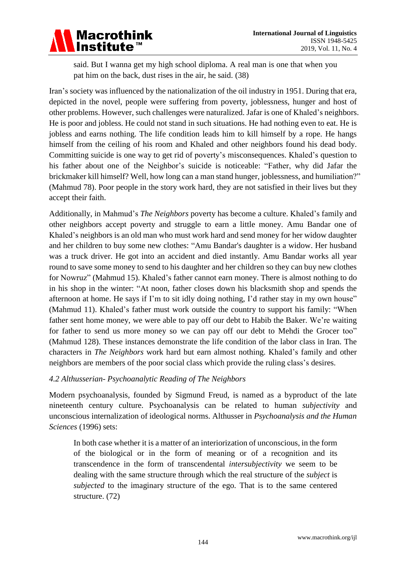

said. But I wanna get my high school diploma. A real man is one that when you pat him on the back, dust rises in the air, he said. (38)

Iran's society was influenced by the nationalization of the oil industry in 1951. During that era, depicted in the novel, people were suffering from poverty, joblessness, hunger and host of other problems. However, such challenges were naturalized. Jafar is one of Khaled's neighbors. He is poor and jobless. He could not stand in such situations. He had nothing even to eat. He is jobless and earns nothing. The life condition leads him to kill himself by a rope. He hangs himself from the ceiling of his room and Khaled and other neighbors found his dead body. Committing suicide is one way to get rid of poverty's misconsequences. Khaled's question to his father about one of the Neighbor's suicide is noticeable: "Father, why did Jafar the brickmaker kill himself? Well, how long can a man stand hunger, joblessness, and humiliation?" (Mahmud 78). Poor people in the story work hard, they are not satisfied in their lives but they accept their faith.

Additionally, in Mahmud's *The Neighbors* poverty has become a culture. Khaled's family and other neighbors accept poverty and struggle to earn a little money. Amu Bandar one of Khaled's neighbors is an old man who must work hard and send money for her widow daughter and her children to buy some new clothes: "Amu Bandar's daughter is a widow. Her husband was a truck driver. He got into an accident and died instantly. Amu Bandar works all year round to save some money to send to his daughter and her children so they can buy new clothes for Nowruz" (Mahmud 15). Khaled's father cannot earn money. There is almost nothing to do in his shop in the winter: "At noon, father closes down his blacksmith shop and spends the afternoon at home. He says if I'm to sit idly doing nothing, I'd rather stay in my own house" (Mahmud 11). Khaled's father must work outside the country to support his family: "When father sent home money, we were able to pay off our debt to Habib the Baker. We're waiting for father to send us more money so we can pay off our debt to Mehdi the Grocer too" (Mahmud 128). These instances demonstrate the life condition of the labor class in Iran. The characters in *The Neighbors* work hard but earn almost nothing. Khaled's family and other neighbors are members of the poor social class which provide the ruling class's desires.

## *4.2 Althusserian- Psychoanalytic Reading of The Neighbors*

Modern psychoanalysis, founded by Sigmund Freud, is named as a byproduct of the late nineteenth century culture. Psychoanalysis can be related to human *subjectivity* and unconscious internalization of ideological norms. Althusser in *Psychoanalysis and the Human Sciences* (1996) sets:

In both case whether it is a matter of an interiorization of unconscious, in the form of the biological or in the form of meaning or of a recognition and its transcendence in the form of transcendental *intersubjectivity* we seem to be dealing with the same structure through which the real structure of the *subject* is *subjected* to the imaginary structure of the ego. That is to the same centered structure. (72)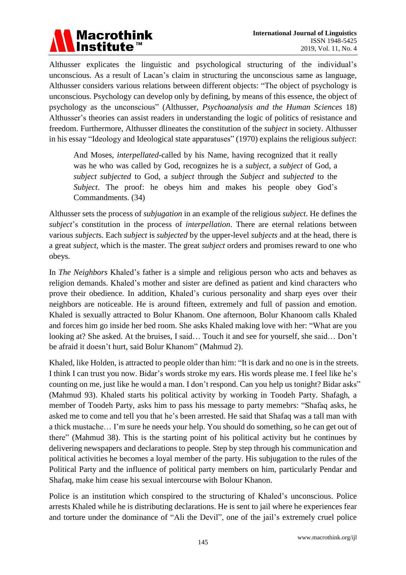

Althusser explicates the linguistic and psychological structuring of the individual's unconscious. As a result of Lacan's claim in structuring the unconscious same as language, Althusser considers various relations between different objects: "The object of psychology is unconscious. Psychology can develop only by defining, by means of this essence, the object of psychology as the unconscious" (Althusser, *Psychoanalysis and the Human Sciences* 18) Althusser's theories can assist readers in understanding the logic of politics of resistance and freedom. Furthermore, Althusser dlineates the constitution of the *subject* in society. Althusser in his essay "Ideology and Ideological state apparatuses" (1970) explains the religious *subject*:

And Moses, *interpellated*-called by his Name, having recognized that it really was he who was called by God, recognizes he is a *subject*, a *subject* of God, a *subject subjected* to God, a *subject* through the *Subject* and *subjected* to the *Subject*. The proof: he obeys him and makes his people obey God's Commandments. (34)

Althusser sets the process of *subjugation* in an example of the religious *subject*. He defines the *subject*'s constitution in the process of *interpellation*. There are eternal relations between various *subject*s. Each *subject* is *subjected* by the upper-level *subjects* and at the head, there is a great *subject*, which is the master. The great *subject* orders and promises reward to one who obeys.

In *The Neighbors* Khaled's father is a simple and religious person who acts and behaves as religion demands. Khaled's mother and sister are defined as patient and kind characters who prove their obedience. In addition, Khaled's curious personality and sharp eyes over their neighbors are noticeable. He is around fifteen, extremely and full of passion and emotion. Khaled is sexually attracted to Bolur Khanom. One afternoon, Bolur Khanoom calls Khaled and forces him go inside her bed room. She asks Khaled making love with her: "What are you looking at? She asked. At the bruises, I said… Touch it and see for yourself, she said… Don't be afraid it doesn't hurt, said Bolur Khanom" (Mahmud 2).

Khaled, like Holden, is attracted to people older than him: "It is dark and no one is in the streets. I think I can trust you now. Bidar's words stroke my ears. His words please me. I feel like he's counting on me, just like he would a man. I don't respond. Can you help us tonight? Bidar asks" (Mahmud 93). Khaled starts his political activity by working in Toodeh Party. Shafagh, a member of Toodeh Party, asks him to pass his message to party memebrs: "Shafaq asks, he asked me to come and tell you that he's been arrested. He said that Shafaq was a tall man with a thick mustache… I'm sure he needs your help. You should do something, so he can get out of there" (Mahmud 38). This is the starting point of his political activity but he continues by delivering newspapers and declarations to people. Step by step through his communication and political activities he becomes a loyal member of the party. His subjugation to the rules of the Political Party and the influence of political party members on him, particularly Pendar and Shafaq, make him cease his sexual intercourse with Bolour Khanon.

Police is an institution which conspired to the structuring of Khaled's unconscious. Police arrests Khaled while he is distributing declarations. He is sent to jail where he experiences fear and torture under the dominance of "Ali the Devil", one of the jail's extremely cruel police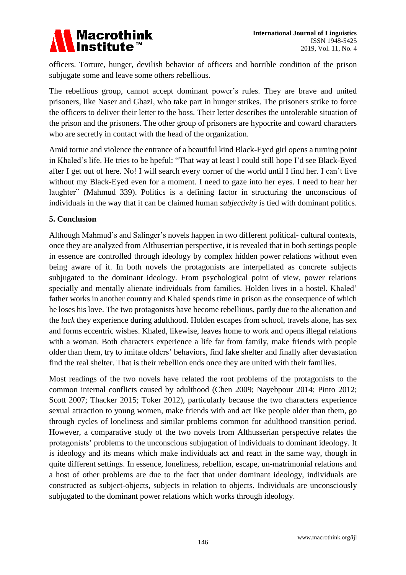

officers. Torture, hunger, devilish behavior of officers and horrible condition of the prison subjugate some and leave some others rebellious.

The rebellious group, cannot accept dominant power's rules. They are brave and united prisoners, like Naser and Ghazi, who take part in hunger strikes. The prisoners strike to force the officers to deliver their letter to the boss. Their letter describes the untolerable situation of the prison and the prisoners. The other group of prisoners are hypocrite and coward characters who are secretly in contact with the head of the organization.

Amid tortue and violence the entrance of a beautiful kind Black-Eyed girl opens a turning point in Khaled's life. He tries to be hpeful: "That way at least I could still hope I'd see Black-Eyed after I get out of here. No! I will search every corner of the world until I find her. I can't live without my Black-Eyed even for a moment. I need to gaze into her eyes. I need to hear her laughter" (Mahmud 339). Politics is a defining factor in structuring the unconscious of individuals in the way that it can be claimed human *subjectivity* is tied with dominant politics.

#### **5. Conclusion**

Although Mahmud's and Salinger's novels happen in two different political- cultural contexts, once they are analyzed from Althuserrian perspective, it is revealed that in both settings people in essence are controlled through ideology by complex hidden power relations without even being aware of it. In both novels the protagonists are interpellated as concrete subjects subjugated to the dominant ideology. From psychological point of view, power relations specially and mentally alienate individuals from families. Holden lives in a hostel. Khaled' father works in another country and Khaled spends time in prison as the consequence of which he loses his love. The two protagonists have become rebellious, partly due to the alienation and the *lack* they experience during adulthood. Holden escapes from school, travels alone, has sex and forms eccentric wishes. Khaled, likewise, leaves home to work and opens illegal relations with a woman. Both characters experience a life far from family, make friends with people older than them, try to imitate olders' behaviors, find fake shelter and finally after devastation find the real shelter. That is their rebellion ends once they are united with their families.

Most readings of the two novels have related the root problems of the protagonists to the common internal conflicts caused by adulthood (Chen 2009; Nayebpour 2014; Pinto 2012; Scott 2007; Thacker 2015; Toker 2012), particularly because the two characters experience sexual attraction to young women, make friends with and act like people older than them, go through cycles of loneliness and similar problems common for adulthood transition period. However, a comparative study of the two novels from Althusserian perspective relates the protagonists' problems to the unconscious subjugation of individuals to dominant ideology. It is ideology and its means which make individuals act and react in the same way, though in quite different settings. In essence, loneliness, rebellion, escape, un-matrimonial relations and a host of other problems are due to the fact that under dominant ideology, individuals are constructed as subject-objects, subjects in relation to objects. Individuals are unconsciously subjugated to the dominant power relations which works through ideology.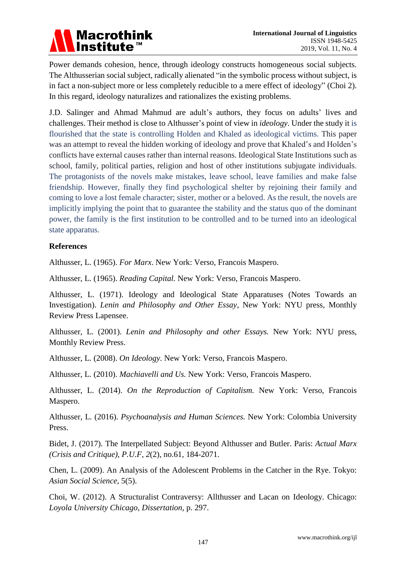

Power demands cohesion, hence, through ideology constructs homogeneous social subjects. The Althusserian social subject, radically alienated "in the symbolic process without subject, is in fact a non-subject more or less completely reducible to a mere effect of ideology" (Choi 2). In this regard, ideology naturalizes and rationalizes the existing problems.

J.D. Salinger and Ahmad Mahmud are adult's authors, they focus on adults' lives and challenges. Their method is close to Althusser's point of view in *ideology*. Under the study it is flourished that the state is controlling Holden and Khaled as ideological victims. This paper was an attempt to reveal the hidden working of ideology and prove that Khaled's and Holden's conflicts have external causes rather than internal reasons. Ideological State Institutions such as school, family, political parties, religion and host of other institutions subjugate individuals. The protagonists of the novels make mistakes, leave school, leave families and make false friendship. However, finally they find psychological shelter by rejoining their family and coming to love a lost female character; sister, mother or a beloved. As the result, the novels are implicitly implying the point that to guarantee the stability and the status quo of the dominant power, the family is the first institution to be controlled and to be turned into an ideological state apparatus.

#### **References**

Althusser, L. (1965). *For Marx*. New York: Verso, Francois Maspero.

Althusser, L. (1965). *Reading Capital.* New York: Verso, Francois Maspero.

Althusser, L. (1971). Ideology and Ideological State Apparatuses (Notes Towards an Investigation). *Lenin and Philosophy and Other Essay*, New York: NYU press, Monthly Review Press Lapensee.

Althusser, L. (2001). *Lenin and Philosophy and other Essays.* New York: NYU press, Monthly Review Press.

Althusser, L. (2008). *On Ideology.* New York: Verso, Francois Maspero.

Althusser, L. (2010). *Machiavelli and Us.* New York: Verso, Francois Maspero.

Althusser, L. (2014). *On the Reproduction of Capitalism.* New York: Verso, Francois Maspero.

Althusser, L. (2016). *Psychoanalysis and Human Sciences.* New York: Colombia University Press.

Bidet, J. (2017). The Interpellated Subject: Beyond Althusser and Butler. Paris: *Actual Marx (Crisis and Critique), P.U.F*, *2*(2), no.61, 184-2071.

Chen, L. (2009). An Analysis of the Adolescent Problems in the Catcher in the Rye. Tokyo: *Asian Social Science*, 5(5).

Choi, W. (2012). A Structuralist Contraversy: Allthusser and Lacan on Ideology. Chicago: *Loyola University Chicago*, *Dissertation*, p. 297.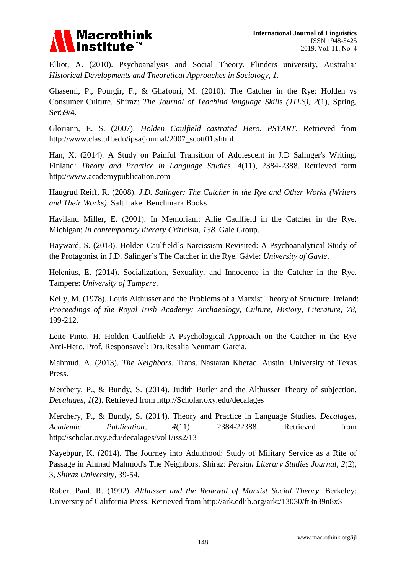

Elliot, A. (2010). Psychoanalysis and Social Theory. Flinders university, Australia*: Historical Developments and Theoretical Approaches in Sociology*, *1*.

Ghasemi, P., Pourgir, F., & Ghafoori, M. (2010). The Catcher in the Rye: Holden vs Consumer Culture. Shiraz: *The Journal of Teachind language Skills (JTLS)*, *2*(1), Spring, Ser59/4.

Gloriann, E. S. (2007). *Holden Caulfield castrated Hero. PSYART*. Retrieved from [http://www.clas.ufl.edu/ipsa/journal/2007\\_scott01.shtml](http://www.clas.ufl.edu/ipsa/journal/2007_scott01.shtml)

Han, X. (2014). A Study on Painful Transition of Adolescent in J.D Salinger's Writing. Finland: *Theory and Practice in Language Studies*, *4*(11), 2384-2388. Retrieved form [http://www.academypublication.com](http://www.academypublication.com/)

Haugrud Reiff, R. (2008). *J.D. Salinger: The Catcher in the Rye and Other Works (Writers and Their Works)*. Salt Lake: Benchmark Books.

Haviland Miller, E. (2001). In Memoriam: Allie Caulfield in the Catcher in the Rye. Michigan: *In contemporary literary Criticism*, *138*. Gale Group.

Hayward, S. (2018). Holden Caulfield´s Narcissism Revisited: A Psychoanalytical Study of the Protagonist in J.D. Salinger´s The Catcher in the Rye. Gävle: *University of Gavle*.

Helenius, E. (2014). Socialization, Sexuality, and Innocence in the Catcher in the Rye. Tampere: *University of Tampere*.

Kelly, M. (1978). Louis Althusser and the Problems of a Marxist Theory of Structure. Ireland: *Proceedings of the Royal Irish Academy: Archaeology*, *Culture, History, Literature, 78*, 199-212.

Leite Pinto, H. Holden Caulfield: A Psychological Approach on the Catcher in the Rye Anti-Hero. Prof. Responsavel: Dra.Resalia Neumam Garcia.

Mahmud, A. (2013). *The Neighbors*. Trans. Nastaran Kherad. Austin: University of Texas Press.

Merchery, P., & Bundy, S. (2014). Judith Butler and the Althusser Theory of subjection. *Decalages*, *1*(2). Retrieved from http://Scholar.oxy.edu/decalages

Merchery, P., & Bundy, S. (2014). Theory and Practice in Language Studies. *Decalages, Academic Publication*, *4*(11), 2384-22388. Retrieved from <http://scholar.oxy.edu/decalages/vol1/iss2/13>

Nayebpur, K. (2014). The Journey into Adulthood: Study of Military Service as a Rite of Passage in Ahmad Mahmod's The Neighbors. Shiraz: *Persian Literary Studies Journal*, *2*(2), 3, *Shiraz University*, 39-54.

Robert Paul, R. (1992). *Althusser and the Renewal of Marxist Social Theory*. Berkeley: University of California Press. Retrieved from http://ark.cdlib.org/ark:/13030/ft3n39n8x3